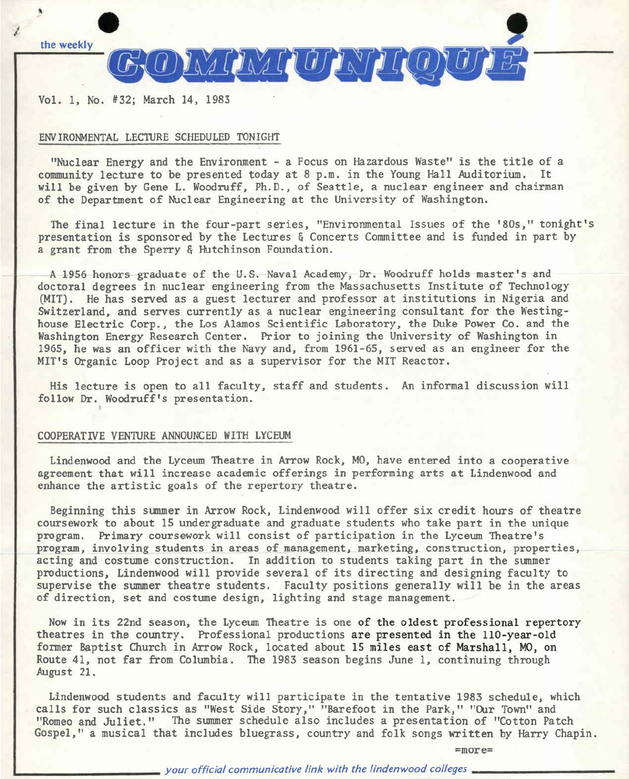

Vol. 1, No. #32; March 14, 1983

## ENVIRONMENTAL LEC1URE SCHEDULED TONIGHT

"Nuclear Energy and the Environment - a Focus on Hazardous Waste" is the title of a community lecture to be presented today at 8 p.m. in the Young Hall Auditorium. It will be given by Gene L. Woodruff, Ph.D., of Seattle, a nuclear engineer and chairman of the Department of Nuclear Engineering at the University of Washington.

The final lecture in the four-part series, "Environmental Issues of the '80s," tonight's presentation is sponsored by the Lectures & Concerts Committee and is funded in part by a grant from the Sperry & Hutchinson Foundation.

A 1956 honors graduate of the U.S. Naval Academy, Dr. Woodruff holds master's and doctoral degrees in nuclear engineering from the Massachusetts Institute of Technology (MIT). He has served as a guest lecturer and professor at institutions in Nigeria and Switzerland, and serves currently as a nuclear engineering consultant for the Westinghouse Electric Corp., the Los Alamos Scientific Laboratory, the Duke Power Co. and the Washington Energy Research Center. Prior to joining the University of Washington in 1965, he was an officer with the Navy and, from 1961-65, served as an engineer for the MIT's Organic Loop Project and as a supervisor for the MIT Reactor.

His lecture is open to all faculty, staff and students. An informal discussion will follow Dr. Woodruff's presentation.

## COOPERATIVE VENTURE ANNOUNCED WITH LYCEUM

Lindenwood and the Lyceum Theatre in Arrow Rock, MO, have entered into a cooperative agreement that will increase academic offerings in performing arts at Lindenwood and enhance the artistic goals of the repertory theatre.

Beginning this summer in Arrow Rock, Lindenwood will offer six credit hours of theatre coursework to about 15 undergraduate and graduate students who take part in the unique program. Primary coursework will consist of participation in the Lyceum Theatre's program, involving students in areas of management, marketing, construction, properties, acting and costume construction. In addition to students taking part in the summer productions, Lindenwood will provide several of its directing and designing faculty to supervise the summer theatre students. Faculty positions generally will be in the areas of direction, set and costume design, lighting and stage management.

Now in its 22nd season, the Lyceum Theatre is one of the oldest professional repertory theatres in the country. Professional productions are presented in the 110-year-old former Baptist Church in Arrow Rock, located about 15 miles east of Marshall, MO, on Route 41, not far from Columbia. The 1983 season begins June 1, continuing through August 21.

Lindenwood students and faculty will participate in the tentative 1983 schedule, which calls for such classics as "West Side Story," "Barefoot in the Park," "Our Town" and "Romeo and Juliet." The summer schedule also includes a presentation of "Cotton Patch Gospel," a musical that includes bluegrass, country and folk songs written by Harry Chapin.

=more=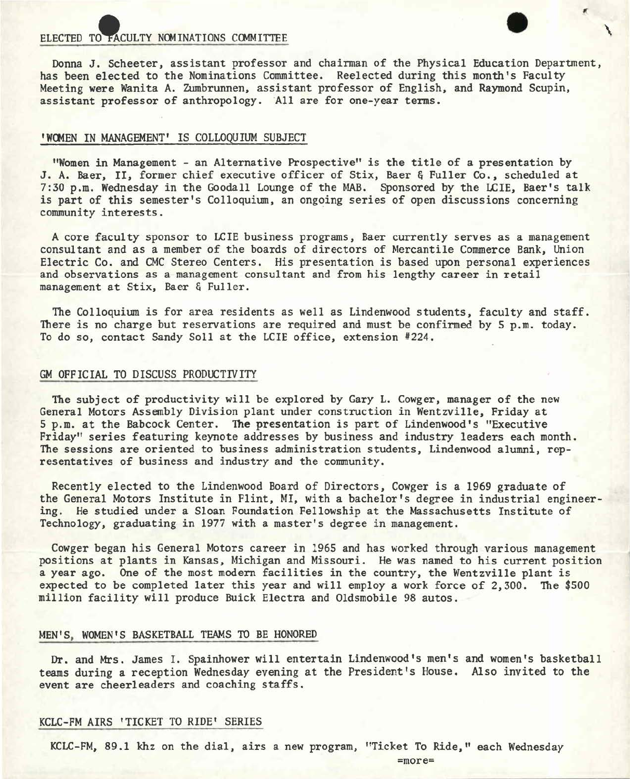ELECTED TO FACULTY NOMINATIONS COMMITTEE<br>
Donna J. Scheeter, assistant professor and chairman of the Physical Education Department, has been elected to the Nominations Committee. Reelected during this month's Faculty Meeting **were** Wanita A. Zumbrunnen, assistant professor of English, and Raymond Scupin, assistant professor of anthropology. All are for one-year terms.

 $\check{f}$ 

### **<sup>1</sup>W04EN** IN MANAGEMENT' IS COLLOQUIUM SUBJECT

"Women in Management - an Alternative Prospective'' is the title of a presentation by J. A. **Baer,** II, former chief executive officer of Stix, Baer & Fuller Co., scheduled at 7:30 p.m. Wednesday in the Goodall Lounge of the MAB. Sponsored by the LCIE, Baer's talk is part of this semester's Colloquium, an ongoing series of open discussions concerning community interests.

A core faculty sponsor to LCIE business programs, Baer currently serves as a management consultant and as a member of the boards of directors of Mercantile Commerce Bank, Union Electric Co. and CMC Stereo Centers. His presentation is based upon personal experiences and observations as a management consultant and from his lengthy career in retail management at Stix, Baer & Fuller.

The Colloquium is for area residents as well as Lindenwood students, faculty and staff. There is no charge but reservations are required and must be confirmed by 5 p.m. today. To do so, contact Sandy Soll at the LCIE office, extension #224.

#### GM OFFICIAL TO DISCUSS PRODUCTIVITY

The subject of productivity will be explored by Gary L. Cowger, manager of the new General Motors Assembly Division plant under construction in Wentzville, Friday at 5 p.m. at the Babcock Center. The presentation is part of Lindenwood's "Executive Friday" series featuring keynote addresses by business and industry leaders each month. The sessions are oriented to business administration students, Lindenwood alumni, representatives of business and industry and the community.

Recently elected to the Lindenwood Board of Directors, Cowger is a 1969 graduate of the General Motors Institute in Flint, MI, with a bachelor's degree in industrial engineering. He studied under a Sloan Foundation Fellowship at the Massachusetts Institute of Technology, graduating in 1977 with a master's degree in management.

Cowger began his General Motors career in 1965 and has worked through various management positions at plants in Kansas, Michigan and Missouri. He was named to his current position a year ago. One of the most modern facilities in the country, the Wentzville plant is expected to be completed later this year and will employ a work force of 2,300. The \$500 million facility will produce Buick Electra and Oldsmobile 98 autos.

## MEN'S, WOMEN'S BASKETBALL TEAMS TO BE HONORED

Dr. and Mrs. James I. Spainhower will entertain Lindenwood's men's and women's basketball teams during a reception Wednesday evening at the President's House. Also invited to the event are cheerleaders and coaching staffs.

#### KCLC-FM AIRS 'TICKET TO RIDE' SERIES

KCLC-FM, 89 .1 khz on the dial, airs a new program, "Ticket To Ride," each Wednesday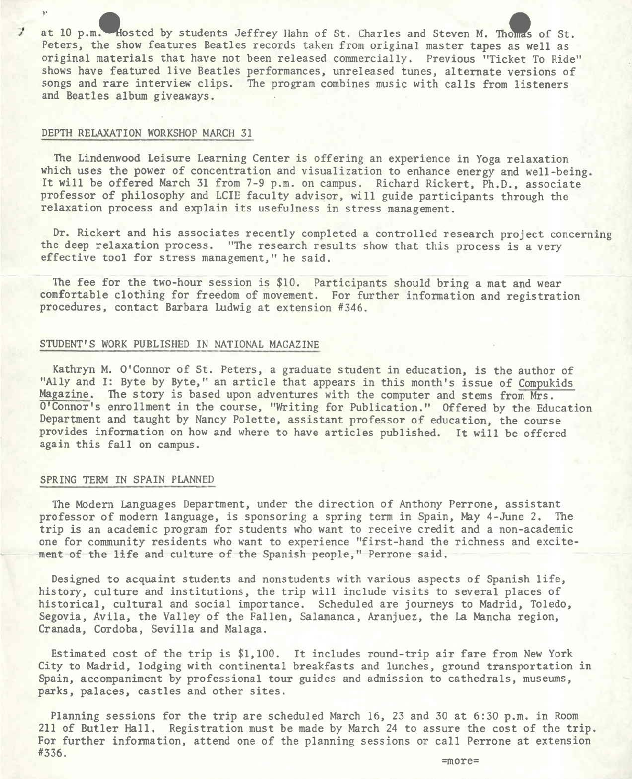at 10 p.m. Hosted by students Jeffrey Hahn of St. Charles and Steven M. Thomas of St. Peters, the show features Beatles records taken from original master tapes as well as original materials that have not been released commercially. Previous "Ticket To Ride" shows have featured live Beatles performances, unreleased tunes, alternate versions of songs and rare interview clips. The program combines music with calls from listeners and Beatles album giveaways.

## DEPTH RELAXATION WORKSHOP MARCH 31

 $\mathbf{v}$ 

The Lindenwood Leisure Learning Center is offering an experience in Yoga relaxation which uses the power of concentration and visualization to enhance energy and well-being. It will be offered March 31 from 7-9 p.m. on campus. Richard Rickert, Ph.D., associate professor of philosophy and LCIE faculty advisor, will guide participants through the relaxation process and explain its usefulness in stress management.

Dr. Rickert and his associates recently completed a controlled research project concerning the deep relaxation process. "The research results show that this process is a very effective tool for stress management," he said.

The fee for the two-hour session is \$10. Participants should bring a mat and wear comfortable clothing for freedom of movement. For further information and registration procedures, contact Barbara Ludwig at extension #346.

## STUDENT'S WORK PUBLISHED IN NATIONAL MAGAZINE

Kathryn M. O'Connor of St. Peters, a graduate student in education, is the author of "Ally and I: Byte by Byte," an article that appears in this month's issue of Compukids<br>Magazine. The story is based upon adventures with the computer and stems from Mrs. The story is based upon adventures with the computer and stems from Mrs. O'Connor's enrollment in the course, "Writing for Publication." Offered by the Education Department and taught by Nancy Polette, assistant professor of education, the course provides information on how and where to have articles published. It will be offered again this fall on campus.

## SPRING TERM IN SPAIN PLANNED

The Modern Languages Department, under the direction of Anthony Perrone, assistant professor of modern language, is sponsoring a spring term in Spain, May 4-June 2, The trip is an academic program for students who want to receive credit and a non-academic one for community residents who want to experience "first-hand the richness and excitement of the life and culture of the Spanish people," Perrone said.

Designed to acquaint students and nonstudents with various aspects of Spanish life, history, culture and institutions, the trip will include visits to several places of historical, cultural and social importance. Scheduled are journeys to Madrid, Toledo, Segovia, Avila, the Valley of the Fallen, Salamanca, Aranjuez, the La Mancha region, Cranada, Cordoba, Sevilla and Malaga.

Estimated cost of the trip is \$1,100. It includes round-trip air fare from New York City to Madrid, lodging with continental breakfasts and lunches, ground transportation in Spain, accompaniment by professional tour guides and admission to cathedrals, museums, parks, palaces, castles and other sites.

Planning sessions for the trip are scheduled March 16, 23 and 30 at 6:30 p.m. in Room 211 of Butler Hall. Registration must be made by March 24 to assure the cost of the trip. For further information, attend one of the planning sessions or call Perrone at extension #336.